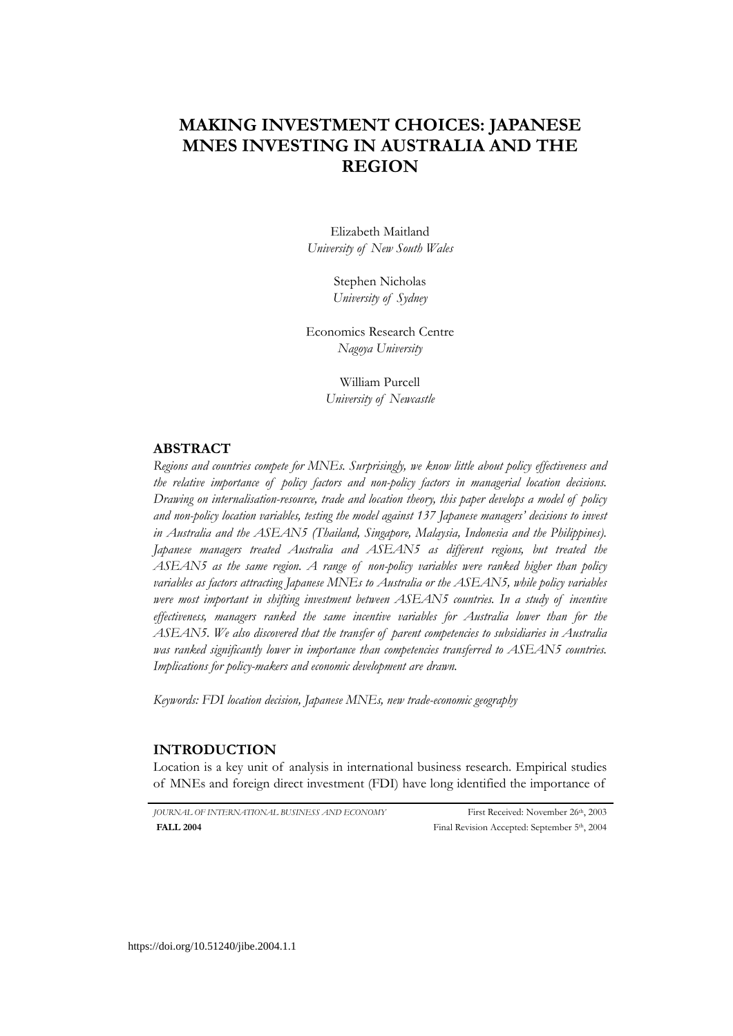# **MAKING INVESTMENT CHOICES: JAPANESE MNES INVESTING IN AUSTRALIA AND THE REGION**

Elizabeth Maitland *University of New South Wales* 

> Stephen Nicholas *University of Sydney*

Economics Research Centre *Nagoya University* 

> William Purcell *University of Newcastle*

## **ABSTRACT**

*Regions and countries compete for MNEs. Surprisingly, we know little about policy effectiveness and the relative importance of policy factors and non-policy factors in managerial location decisions. Drawing on internalisation-resource, trade and location theory, this paper develops a model of policy and non-policy location variables, testing the model against 137 Japanese managers' decisions to invest in Australia and the ASEAN5 (Thailand, Singapore, Malaysia, Indonesia and the Philippines). Japanese managers treated Australia and ASEAN5 as different regions, but treated the ASEAN5 as the same region. A range of non-policy variables were ranked higher than policy variables as factors attracting Japanese MNEs to Australia or the ASEAN5, while policy variables were most important in shifting investment between ASEAN5 countries. In a study of incentive effectiveness, managers ranked the same incentive variables for Australia lower than for the ASEAN5. We also discovered that the transfer of parent competencies to subsidiaries in Australia was ranked significantly lower in importance than competencies transferred to ASEAN5 countries. Implications for policy-makers and economic development are drawn.* 

*Keywords: FDI location decision, Japanese MNEs, new trade-economic geography* 

## **INTRODUCTION**

Location is a key unit of analysis in international business research. Empirical studies of MNEs and foreign direct investment (FDI) have long identified the importance of

*JOURNAL OF INTERNATIONAL BUSINESS AND ECONOMY* First Received: November 26th, 2003 Final Revision Accepted: September 5<sup>th</sup>, 2004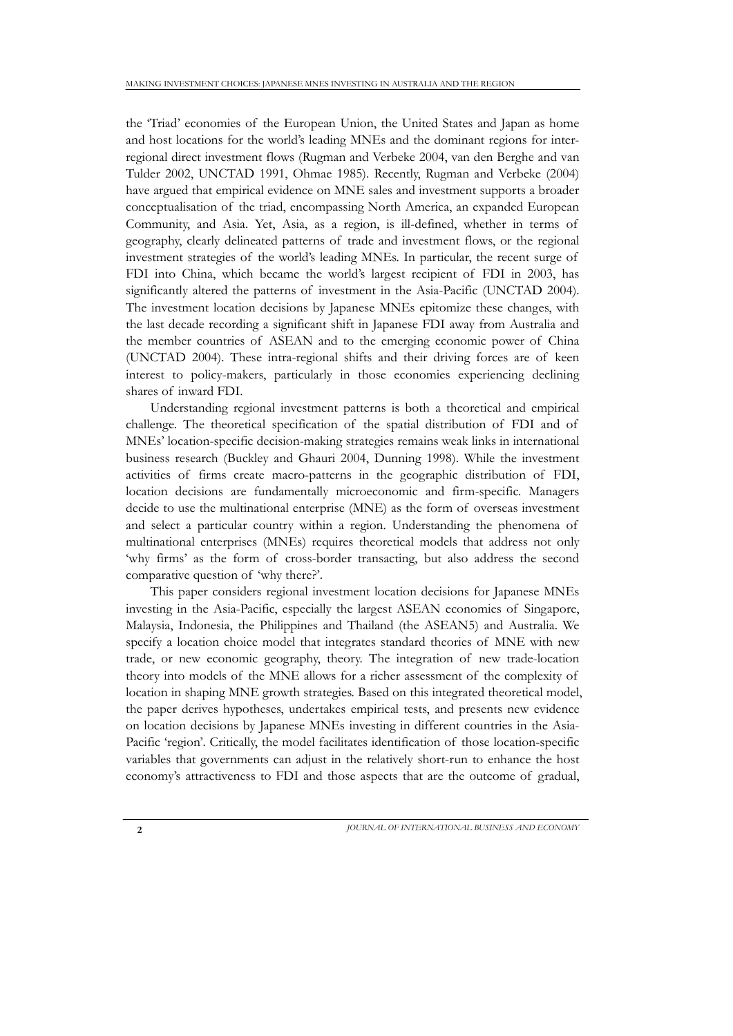the 'Triad' economies of the European Union, the United States and Japan as home and host locations for the world's leading MNEs and the dominant regions for interregional direct investment flows (Rugman and Verbeke 2004, van den Berghe and van Tulder 2002, UNCTAD 1991, Ohmae 1985). Recently, Rugman and Verbeke (2004) have argued that empirical evidence on MNE sales and investment supports a broader conceptualisation of the triad, encompassing North America, an expanded European Community, and Asia. Yet, Asia, as a region, is ill-defined, whether in terms of geography, clearly delineated patterns of trade and investment flows, or the regional investment strategies of the world's leading MNEs. In particular, the recent surge of FDI into China, which became the world's largest recipient of FDI in 2003, has significantly altered the patterns of investment in the Asia-Pacific (UNCTAD 2004). The investment location decisions by Japanese MNEs epitomize these changes, with the last decade recording a significant shift in Japanese FDI away from Australia and the member countries of ASEAN and to the emerging economic power of China (UNCTAD 2004). These intra-regional shifts and their driving forces are of keen interest to policy-makers, particularly in those economies experiencing declining shares of inward FDI.

Understanding regional investment patterns is both a theoretical and empirical challenge. The theoretical specification of the spatial distribution of FDI and of MNEs' location-specific decision-making strategies remains weak links in international business research (Buckley and Ghauri 2004, Dunning 1998). While the investment activities of firms create macro-patterns in the geographic distribution of FDI, location decisions are fundamentally microeconomic and firm-specific. Managers decide to use the multinational enterprise (MNE) as the form of overseas investment and select a particular country within a region. Understanding the phenomena of multinational enterprises (MNEs) requires theoretical models that address not only 'why firms' as the form of cross-border transacting, but also address the second comparative question of 'why there?'.

This paper considers regional investment location decisions for Japanese MNEs investing in the Asia-Pacific, especially the largest ASEAN economies of Singapore, Malaysia, Indonesia, the Philippines and Thailand (the ASEAN5) and Australia. We specify a location choice model that integrates standard theories of MNE with new trade, or new economic geography, theory. The integration of new trade-location theory into models of the MNE allows for a richer assessment of the complexity of location in shaping MNE growth strategies. Based on this integrated theoretical model, the paper derives hypotheses, undertakes empirical tests, and presents new evidence on location decisions by Japanese MNEs investing in different countries in the Asia-Pacific 'region'. Critically, the model facilitates identification of those location-specific variables that governments can adjust in the relatively short-run to enhance the host economy's attractiveness to FDI and those aspects that are the outcome of gradual,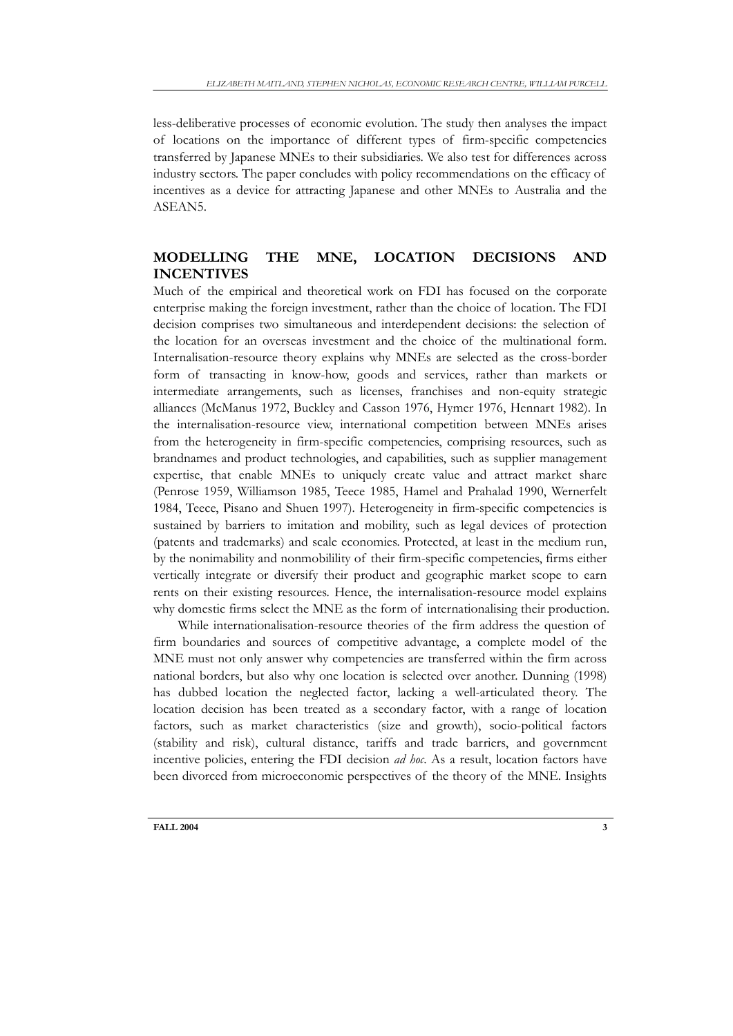less-deliberative processes of economic evolution. The study then analyses the impact of locations on the importance of different types of firm-specific competencies transferred by Japanese MNEs to their subsidiaries. We also test for differences across industry sectors. The paper concludes with policy recommendations on the efficacy of incentives as a device for attracting Japanese and other MNEs to Australia and the ASEAN5.

# **MODELLING THE MNE, LOCATION DECISIONS AND INCENTIVES**

Much of the empirical and theoretical work on FDI has focused on the corporate enterprise making the foreign investment, rather than the choice of location. The FDI decision comprises two simultaneous and interdependent decisions: the selection of the location for an overseas investment and the choice of the multinational form. Internalisation-resource theory explains why MNEs are selected as the cross-border form of transacting in know-how, goods and services, rather than markets or intermediate arrangements, such as licenses, franchises and non-equity strategic alliances (McManus 1972, Buckley and Casson 1976, Hymer 1976, Hennart 1982). In the internalisation-resource view, international competition between MNEs arises from the heterogeneity in firm-specific competencies, comprising resources, such as brandnames and product technologies, and capabilities, such as supplier management expertise, that enable MNEs to uniquely create value and attract market share (Penrose 1959, Williamson 1985, Teece 1985, Hamel and Prahalad 1990, Wernerfelt 1984, Teece, Pisano and Shuen 1997). Heterogeneity in firm-specific competencies is sustained by barriers to imitation and mobility, such as legal devices of protection (patents and trademarks) and scale economies. Protected, at least in the medium run, by the nonimability and nonmobilility of their firm-specific competencies, firms either vertically integrate or diversify their product and geographic market scope to earn rents on their existing resources. Hence, the internalisation-resource model explains why domestic firms select the MNE as the form of internationalising their production.

While internationalisation-resource theories of the firm address the question of firm boundaries and sources of competitive advantage, a complete model of the MNE must not only answer why competencies are transferred within the firm across national borders, but also why one location is selected over another. Dunning (1998) has dubbed location the neglected factor, lacking a well-articulated theory. The location decision has been treated as a secondary factor, with a range of location factors, such as market characteristics (size and growth), socio-political factors (stability and risk), cultural distance, tariffs and trade barriers, and government incentive policies, entering the FDI decision *ad hoc*. As a result, location factors have been divorced from microeconomic perspectives of the theory of the MNE. Insights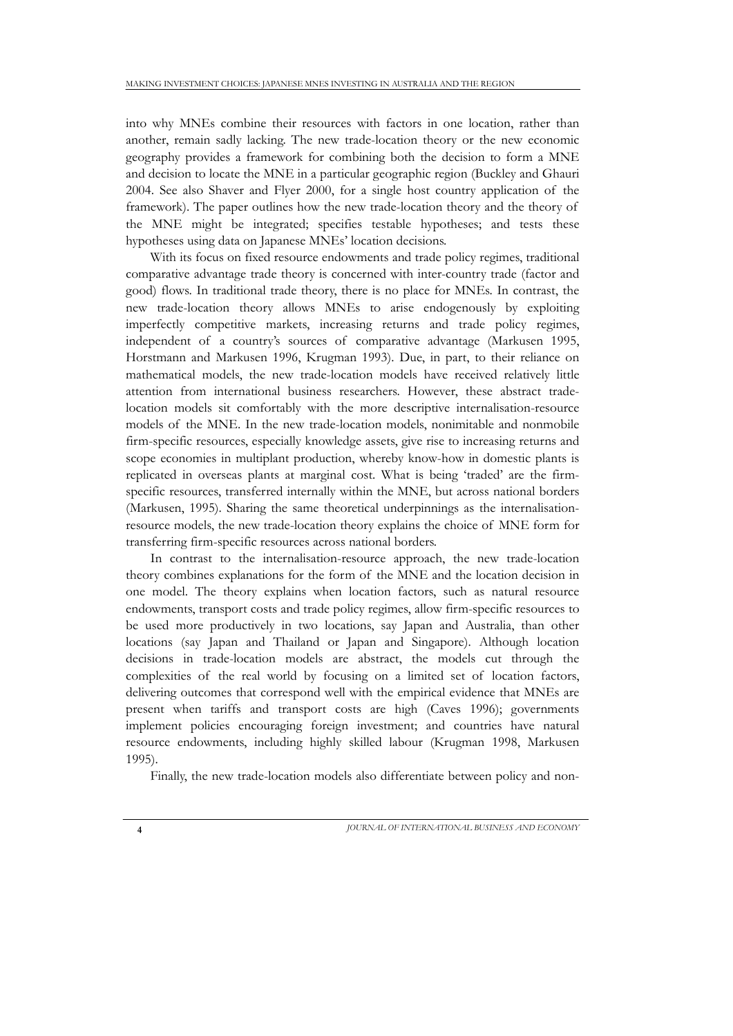into why MNEs combine their resources with factors in one location, rather than another, remain sadly lacking. The new trade-location theory or the new economic geography provides a framework for combining both the decision to form a MNE and decision to locate the MNE in a particular geographic region (Buckley and Ghauri 2004. See also Shaver and Flyer 2000, for a single host country application of the framework). The paper outlines how the new trade-location theory and the theory of the MNE might be integrated; specifies testable hypotheses; and tests these hypotheses using data on Japanese MNEs' location decisions.

With its focus on fixed resource endowments and trade policy regimes, traditional comparative advantage trade theory is concerned with inter-country trade (factor and good) flows. In traditional trade theory, there is no place for MNEs. In contrast, the new trade-location theory allows MNEs to arise endogenously by exploiting imperfectly competitive markets, increasing returns and trade policy regimes, independent of a country's sources of comparative advantage (Markusen 1995, Horstmann and Markusen 1996, Krugman 1993). Due, in part, to their reliance on mathematical models, the new trade-location models have received relatively little attention from international business researchers. However, these abstract tradelocation models sit comfortably with the more descriptive internalisation-resource models of the MNE. In the new trade-location models, nonimitable and nonmobile firm-specific resources, especially knowledge assets, give rise to increasing returns and scope economies in multiplant production, whereby know-how in domestic plants is replicated in overseas plants at marginal cost. What is being 'traded' are the firmspecific resources, transferred internally within the MNE, but across national borders (Markusen, 1995). Sharing the same theoretical underpinnings as the internalisationresource models, the new trade-location theory explains the choice of MNE form for transferring firm-specific resources across national borders.

In contrast to the internalisation-resource approach, the new trade-location theory combines explanations for the form of the MNE and the location decision in one model. The theory explains when location factors, such as natural resource endowments, transport costs and trade policy regimes, allow firm-specific resources to be used more productively in two locations, say Japan and Australia, than other locations (say Japan and Thailand or Japan and Singapore). Although location decisions in trade-location models are abstract, the models cut through the complexities of the real world by focusing on a limited set of location factors, delivering outcomes that correspond well with the empirical evidence that MNEs are present when tariffs and transport costs are high (Caves 1996); governments implement policies encouraging foreign investment; and countries have natural resource endowments, including highly skilled labour (Krugman 1998, Markusen 1995).

Finally, the new trade-location models also differentiate between policy and non-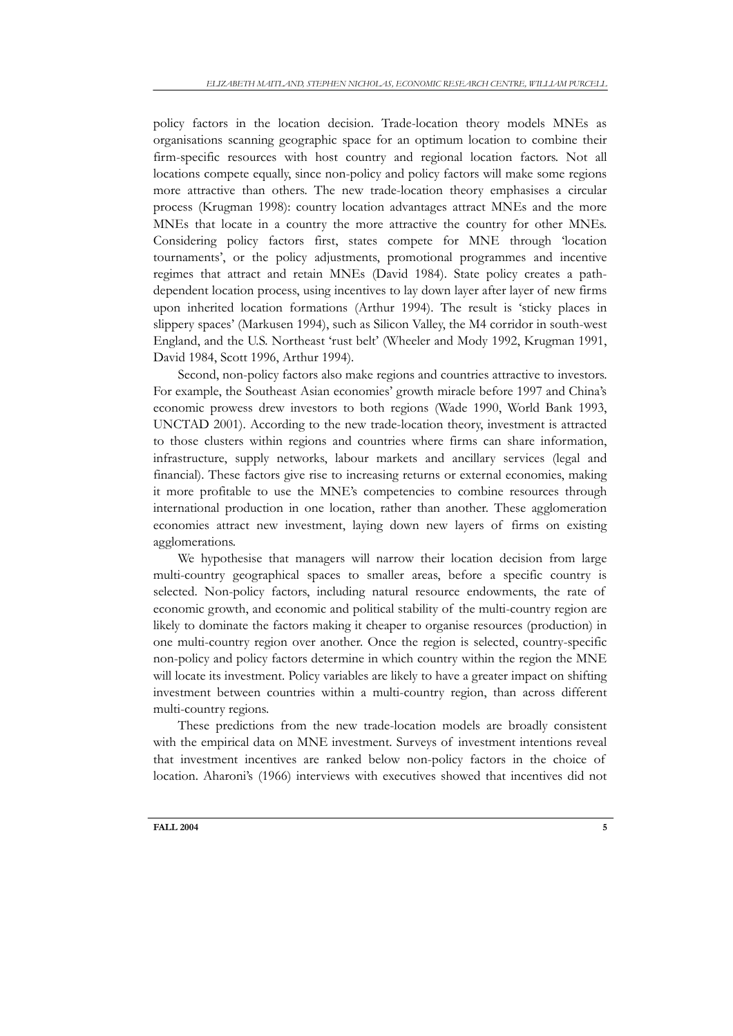policy factors in the location decision. Trade-location theory models MNEs as organisations scanning geographic space for an optimum location to combine their firm-specific resources with host country and regional location factors. Not all locations compete equally, since non-policy and policy factors will make some regions more attractive than others. The new trade-location theory emphasises a circular process (Krugman 1998): country location advantages attract MNEs and the more MNEs that locate in a country the more attractive the country for other MNEs. Considering policy factors first, states compete for MNE through 'location tournaments', or the policy adjustments, promotional programmes and incentive regimes that attract and retain MNEs (David 1984). State policy creates a pathdependent location process, using incentives to lay down layer after layer of new firms upon inherited location formations (Arthur 1994). The result is 'sticky places in slippery spaces' (Markusen 1994), such as Silicon Valley, the M4 corridor in south-west England, and the U.S. Northeast 'rust belt' (Wheeler and Mody 1992, Krugman 1991, David 1984, Scott 1996, Arthur 1994).

Second, non-policy factors also make regions and countries attractive to investors. For example, the Southeast Asian economies' growth miracle before 1997 and China's economic prowess drew investors to both regions (Wade 1990, World Bank 1993, UNCTAD 2001). According to the new trade-location theory, investment is attracted to those clusters within regions and countries where firms can share information, infrastructure, supply networks, labour markets and ancillary services (legal and financial). These factors give rise to increasing returns or external economies, making it more profitable to use the MNE's competencies to combine resources through international production in one location, rather than another. These agglomeration economies attract new investment, laying down new layers of firms on existing agglomerations.

We hypothesise that managers will narrow their location decision from large multi-country geographical spaces to smaller areas, before a specific country is selected. Non-policy factors, including natural resource endowments, the rate of economic growth, and economic and political stability of the multi-country region are likely to dominate the factors making it cheaper to organise resources (production) in one multi-country region over another. Once the region is selected, country-specific non-policy and policy factors determine in which country within the region the MNE will locate its investment. Policy variables are likely to have a greater impact on shifting investment between countries within a multi-country region, than across different multi-country regions.

These predictions from the new trade-location models are broadly consistent with the empirical data on MNE investment. Surveys of investment intentions reveal that investment incentives are ranked below non-policy factors in the choice of location. Aharoni's (1966) interviews with executives showed that incentives did not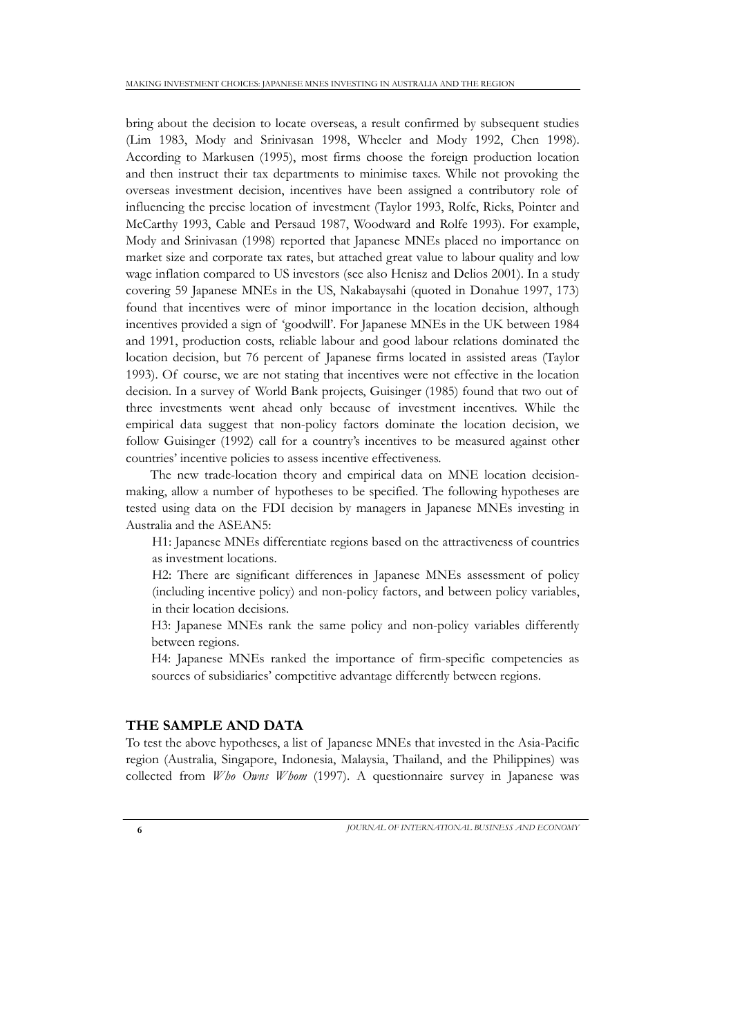bring about the decision to locate overseas, a result confirmed by subsequent studies (Lim 1983, Mody and Srinivasan 1998, Wheeler and Mody 1992, Chen 1998). According to Markusen (1995), most firms choose the foreign production location and then instruct their tax departments to minimise taxes. While not provoking the overseas investment decision, incentives have been assigned a contributory role of influencing the precise location of investment (Taylor 1993, Rolfe, Ricks, Pointer and McCarthy 1993, Cable and Persaud 1987, Woodward and Rolfe 1993). For example, Mody and Srinivasan (1998) reported that Japanese MNEs placed no importance on market size and corporate tax rates, but attached great value to labour quality and low wage inflation compared to US investors (see also Henisz and Delios 2001). In a study covering 59 Japanese MNEs in the US, Nakabaysahi (quoted in Donahue 1997, 173) found that incentives were of minor importance in the location decision, although incentives provided a sign of 'goodwill'. For Japanese MNEs in the UK between 1984 and 1991, production costs, reliable labour and good labour relations dominated the location decision, but 76 percent of Japanese firms located in assisted areas (Taylor 1993). Of course, we are not stating that incentives were not effective in the location decision. In a survey of World Bank projects, Guisinger (1985) found that two out of three investments went ahead only because of investment incentives. While the empirical data suggest that non-policy factors dominate the location decision, we follow Guisinger (1992) call for a country's incentives to be measured against other countries' incentive policies to assess incentive effectiveness.

The new trade-location theory and empirical data on MNE location decisionmaking, allow a number of hypotheses to be specified. The following hypotheses are tested using data on the FDI decision by managers in Japanese MNEs investing in Australia and the ASEAN5:

H1: Japanese MNEs differentiate regions based on the attractiveness of countries as investment locations.

H2: There are significant differences in Japanese MNEs assessment of policy (including incentive policy) and non-policy factors, and between policy variables, in their location decisions.

H3: Japanese MNEs rank the same policy and non-policy variables differently between regions.

H4: Japanese MNEs ranked the importance of firm-specific competencies as sources of subsidiaries' competitive advantage differently between regions.

## **THE SAMPLE AND DATA**

To test the above hypotheses, a list of Japanese MNEs that invested in the Asia-Pacific region (Australia, Singapore, Indonesia, Malaysia, Thailand, and the Philippines) was collected from *Who Owns Whom* (1997). A questionnaire survey in Japanese was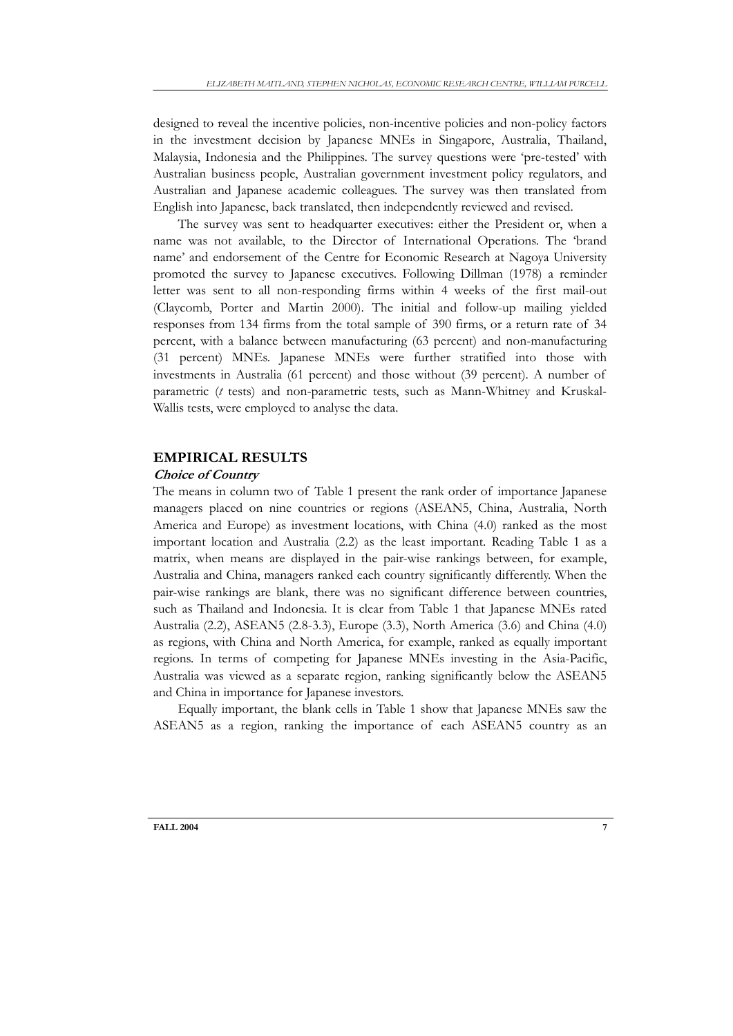designed to reveal the incentive policies, non-incentive policies and non-policy factors in the investment decision by Japanese MNEs in Singapore, Australia, Thailand, Malaysia, Indonesia and the Philippines. The survey questions were 'pre-tested' with Australian business people, Australian government investment policy regulators, and Australian and Japanese academic colleagues. The survey was then translated from English into Japanese, back translated, then independently reviewed and revised.

The survey was sent to headquarter executives: either the President or, when a name was not available, to the Director of International Operations. The 'brand name' and endorsement of the Centre for Economic Research at Nagoya University promoted the survey to Japanese executives. Following Dillman (1978) a reminder letter was sent to all non-responding firms within 4 weeks of the first mail-out (Claycomb, Porter and Martin 2000). The initial and follow-up mailing yielded responses from 134 firms from the total sample of 390 firms, or a return rate of 34 percent, with a balance between manufacturing (63 percent) and non-manufacturing (31 percent) MNEs. Japanese MNEs were further stratified into those with investments in Australia (61 percent) and those without (39 percent). A number of parametric (*t* tests) and non-parametric tests, such as Mann-Whitney and Kruskal-Wallis tests, were employed to analyse the data.

## **EMPIRICAL RESULTS**

#### **Choice of Country**

The means in column two of Table 1 present the rank order of importance Japanese managers placed on nine countries or regions (ASEAN5, China, Australia, North America and Europe) as investment locations, with China (4.0) ranked as the most important location and Australia (2.2) as the least important. Reading Table 1 as a matrix, when means are displayed in the pair-wise rankings between, for example, Australia and China, managers ranked each country significantly differently. When the pair-wise rankings are blank, there was no significant difference between countries, such as Thailand and Indonesia. It is clear from Table 1 that Japanese MNEs rated Australia (2.2), ASEAN5 (2.8-3.3), Europe (3.3), North America (3.6) and China (4.0) as regions, with China and North America, for example, ranked as equally important regions. In terms of competing for Japanese MNEs investing in the Asia-Pacific, Australia was viewed as a separate region, ranking significantly below the ASEAN5 and China in importance for Japanese investors.

Equally important, the blank cells in Table 1 show that Japanese MNEs saw the ASEAN5 as a region, ranking the importance of each ASEAN5 country as an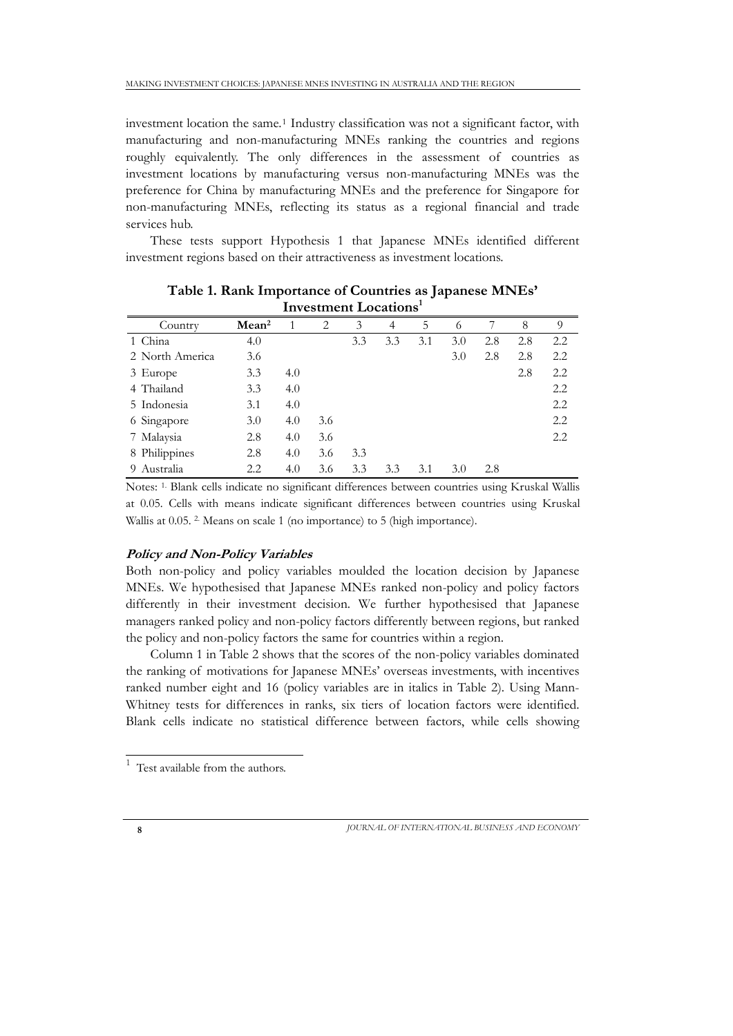investment location the same.[1](#page-7-0) Industry classification was not a significant factor, with manufacturing and non-manufacturing MNEs ranking the countries and regions roughly equivalently. The only differences in the assessment of countries as investment locations by manufacturing versus non-manufacturing MNEs was the preference for China by manufacturing MNEs and the preference for Singapore for non-manufacturing MNEs, reflecting its status as a regional financial and trade services hub.

These tests support Hypothesis 1 that Japanese MNEs identified different investment regions based on their attractiveness as investment locations.

| Invesument Locations |                   |     |     |     |                |     |     |     |     |         |  |  |  |
|----------------------|-------------------|-----|-----|-----|----------------|-----|-----|-----|-----|---------|--|--|--|
| Country              | Mean <sup>2</sup> |     | 2   | 3   | $\overline{4}$ | 5   | 6   |     | 8   | 9       |  |  |  |
| 1 China              | 4.0               |     |     | 3.3 | 3.3            | 3.1 | 3.0 | 2.8 | 2.8 | $2.2\,$ |  |  |  |
| 2 North America      | 3.6               |     |     |     |                |     | 3.0 | 2.8 | 2.8 | 2.2     |  |  |  |
| 3 Europe             | 3.3               | 4.0 |     |     |                |     |     |     | 2.8 | 2.2     |  |  |  |
| 4 Thailand           | 3.3               | 4.0 |     |     |                |     |     |     |     | 2.2     |  |  |  |
| 5 Indonesia          | 3.1               | 4.0 |     |     |                |     |     |     |     | 2.2     |  |  |  |
| 6 Singapore          | 3.0               | 4.0 | 3.6 |     |                |     |     |     |     | 2.2     |  |  |  |
| 7 Malaysia           | 2.8               | 4.0 | 3.6 |     |                |     |     |     |     | 2.2     |  |  |  |
| 8 Philippines        | 2.8               | 4.0 | 3.6 | 3.3 |                |     |     |     |     |         |  |  |  |
| Australia<br>9.      | 2.2               | 4.0 | 3.6 | 3.3 | 3.3            | 3.1 | 3.0 | 2.8 |     |         |  |  |  |

**Table 1. Rank Importance of Countries as Japanese MNEs' Investment Locations1**

Notes: 1. Blank cells indicate no significant differences between countries using Kruskal Wallis at 0.05. Cells with means indicate significant differences between countries using Kruskal Wallis at 0.05.<sup>2</sup> Means on scale 1 (no importance) to 5 (high importance).

### **Policy and Non-Policy Variables**

Both non-policy and policy variables moulded the location decision by Japanese MNEs. We hypothesised that Japanese MNEs ranked non-policy and policy factors differently in their investment decision. We further hypothesised that Japanese managers ranked policy and non-policy factors differently between regions, but ranked the policy and non-policy factors the same for countries within a region.

Column 1 in Table 2 shows that the scores of the non-policy variables dominated the ranking of motivations for Japanese MNEs' overseas investments, with incentives ranked number eight and 16 (policy variables are in italics in Table 2). Using Mann-Whitney tests for differences in ranks, six tiers of location factors were identified. Blank cells indicate no statistical difference between factors, while cells showing

*JOURNAL OF INTERNATIONAL BUSINESS AND ECONOMY* **8**

<span id="page-7-0"></span> $<sup>1</sup>$  Test available from the authors.</sup>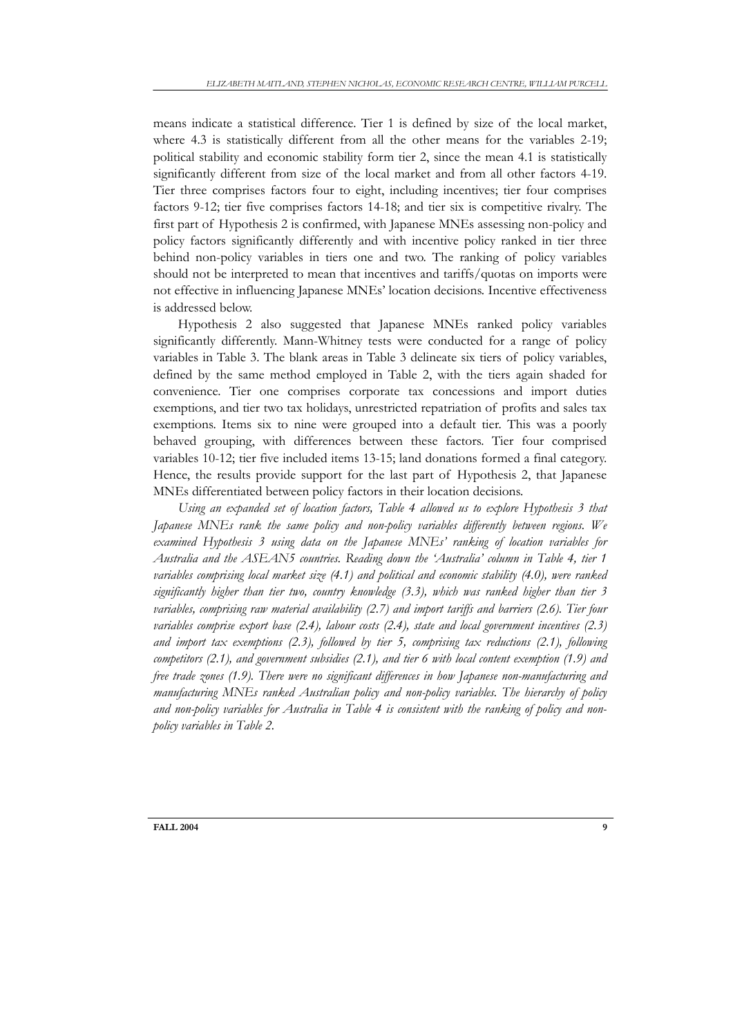means indicate a statistical difference. Tier 1 is defined by size of the local market, where 4.3 is statistically different from all the other means for the variables 2-19; political stability and economic stability form tier 2, since the mean 4.1 is statistically significantly different from size of the local market and from all other factors 4-19. Tier three comprises factors four to eight, including incentives; tier four comprises factors 9-12; tier five comprises factors 14-18; and tier six is competitive rivalry. The first part of Hypothesis 2 is confirmed, with Japanese MNEs assessing non-policy and policy factors significantly differently and with incentive policy ranked in tier three behind non-policy variables in tiers one and two. The ranking of policy variables should not be interpreted to mean that incentives and tariffs/quotas on imports were not effective in influencing Japanese MNEs' location decisions. Incentive effectiveness is addressed below.

Hypothesis 2 also suggested that Japanese MNEs ranked policy variables significantly differently. Mann-Whitney tests were conducted for a range of policy variables in Table 3. The blank areas in Table 3 delineate six tiers of policy variables, defined by the same method employed in Table 2, with the tiers again shaded for convenience. Tier one comprises corporate tax concessions and import duties exemptions, and tier two tax holidays, unrestricted repatriation of profits and sales tax exemptions. Items six to nine were grouped into a default tier. This was a poorly behaved grouping, with differences between these factors. Tier four comprised variables 10-12; tier five included items 13-15; land donations formed a final category. Hence, the results provide support for the last part of Hypothesis 2, that Japanese MNEs differentiated between policy factors in their location decisions.

Using an expanded set of location factors, Table 4 allowed us to explore Hypothesis 3 that *Japanese MNEs rank the same policy and non-policy variables differently between regions. We examined Hypothesis 3 using data on the Japanese MNEs' ranking of location variables for Australia and the ASEAN5 countries. Reading down the 'Australia' column in Table 4, tier 1 variables comprising local market size (4.1) and political and economic stability (4.0), were ranked significantly higher than tier two, country knowledge (3.3), which was ranked higher than tier 3 variables, comprising raw material availability (2.7) and import tariffs and barriers (2.6). Tier four variables comprise export base (2.4), labour costs (2.4), state and local government incentives (2.3) and import tax exemptions (2.3), followed by tier 5, comprising tax reductions (2.1), following competitors (2.1), and government subsidies (2.1), and tier 6 with local content exemption (1.9) and free trade zones (1.9). There were no significant differences in how Japanese non-manufacturing and manufacturing MNEs ranked Australian policy and non-policy variables. The hierarchy of policy and non-policy variables for Australia in Table 4 is consistent with the ranking of policy and nonpolicy variables in Table 2.*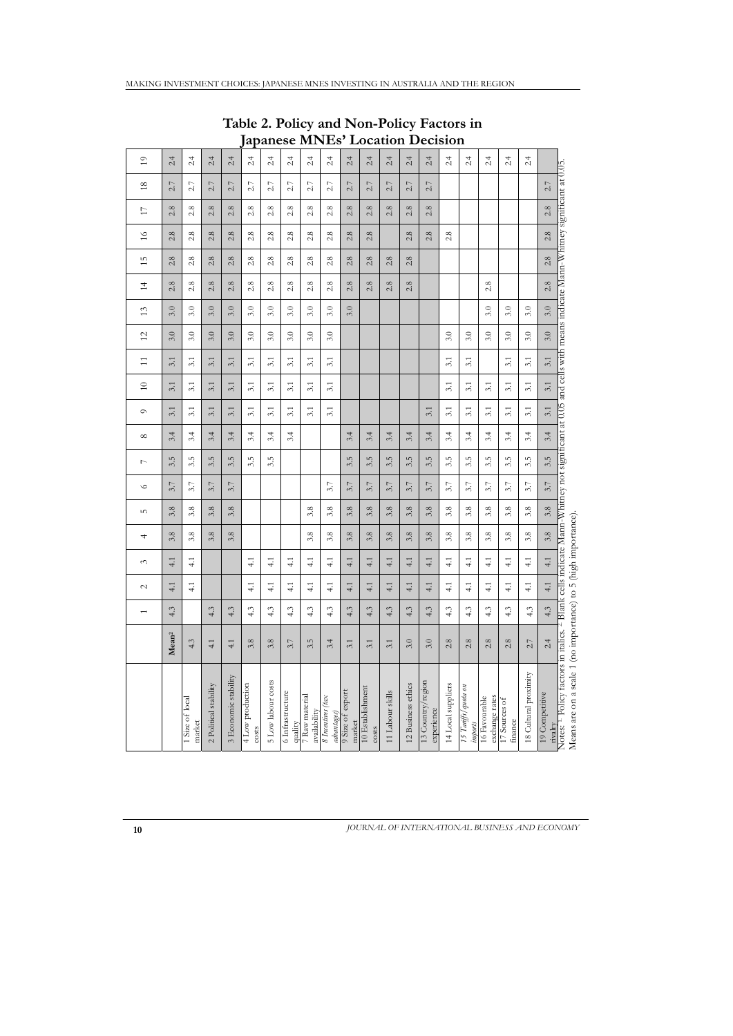| $\overline{1}$  | 2.4               | 2.4                       | 2.4                   | 2.4                  | 2.4                       | 2.4                | 2.4                         | 2.4                            | 2.4                              | 2.4                        | 2.4                       | 2.4              | 2.4                | 2.4                             | 2.4                | 2.4                            | 2.4                             | 2.4                      | 2.4                   |                           |                                                                                                                                                                                                                                                         |
|-----------------|-------------------|---------------------------|-----------------------|----------------------|---------------------------|--------------------|-----------------------------|--------------------------------|----------------------------------|----------------------------|---------------------------|------------------|--------------------|---------------------------------|--------------------|--------------------------------|---------------------------------|--------------------------|-----------------------|---------------------------|---------------------------------------------------------------------------------------------------------------------------------------------------------------------------------------------------------------------------------------------------------|
| $\frac{8}{2}$   | 2.7               | 2.7                       | 2.7                   | 2.7                  | 2.7                       | 2.7                | 2.7                         | 2.7                            | 2.7                              | 2.7                        | 2.7                       | 2.7              | 2.7                | 2.7                             |                    |                                |                                 |                          |                       | 2.7                       |                                                                                                                                                                                                                                                         |
| $\Box$          | 2.8               | 2.8                       | 2.8                   | 2.8                  | 2.8                       | 2.8                | 2.8                         | 2.8                            | 2.8                              | 2.8                        | 2.8                       | 2.8              | 2.8                | 2.8                             |                    |                                |                                 |                          |                       | 2.8                       |                                                                                                                                                                                                                                                         |
| $\geq$          | 2.8               | 2.8                       | 2.8                   | 2.8                  | 2.8                       | 2.8                | 2.8                         | 2.8                            | 2.8                              | 2.8                        | 2.8                       |                  | 2.8                | 2.8                             | 2.8                |                                |                                 |                          |                       | 2.8                       |                                                                                                                                                                                                                                                         |
| 15              | 2.8               | 2.8                       | 2.8                   | 2.8                  | 2.8                       | 2.8                | 2.8                         | 2.8                            | 2.8                              | 2.8                        | 2.8                       | 2.8              | 2.8                |                                 |                    |                                |                                 |                          |                       | 2.8                       |                                                                                                                                                                                                                                                         |
| $\overline{1}$  | 2.8               | 2.8                       | 2.8                   | 2.8                  | 2.8                       | 2.8                | 2.8                         | 2.8                            | 2.8                              | 2.8                        | 2.8                       | 2.8              | 2.8                |                                 |                    |                                | 2.8                             |                          |                       | 2.8                       |                                                                                                                                                                                                                                                         |
| 13              | 3.0               | 3.0                       | 3.0                   | 3.0                  | 3.0                       | 3.0                | 3.0                         | 3.0                            | 3.0                              | 3.0                        |                           |                  |                    |                                 |                    |                                | 3.0                             | 3.0                      | 3.0                   | 3.0                       |                                                                                                                                                                                                                                                         |
| $\overline{c}$  | 3.0               | 3.0                       | 3.0                   | 3.0                  | $3.0\,$                   | $3.0\,$            | 3.0                         | $3.0\,$                        | 3.0                              |                            |                           |                  |                    |                                 | 3.0                | 3.0                            | $3.0\,$                         | 3.0                      | $3.0\,$               | 3.0                       |                                                                                                                                                                                                                                                         |
| $\Xi$           | 3.1               | $\overline{3.1}$          | 3.1                   | 3.1                  | $\overline{3.1}$          | 3.1                | $\overline{51}$             | 3.1                            | 3.1                              |                            |                           |                  |                    |                                 | $\overline{31}$    | 3.1                            |                                 | 3.1                      | $\overline{31}$       | 3.1                       |                                                                                                                                                                                                                                                         |
| $\overline{10}$ | 3.1               | 3.1                       | 3.1                   | 3.1                  | 3.1                       | 3.1                | 31                          | 3.1                            | 3.1                              |                            |                           |                  |                    |                                 | $\overline{31}$    | 3.1                            | 3.1                             | 3.1                      | 3.1                   | 3.1                       |                                                                                                                                                                                                                                                         |
| $\sim$          | 3.1               | 3.1                       | 3.1                   | 3.1                  | 3.1                       | 3.1                | 3.1                         | 3.1                            | 3.1                              |                            |                           |                  |                    | 3.1                             | 3.1                | 3.1                            | 3.1                             | 3.1                      | 3.1                   | 3.1                       |                                                                                                                                                                                                                                                         |
| $\infty$        | 3.4               | 3.4                       | 3.4                   | 3.4                  | 3.4                       | 3.4                | 3.4                         |                                |                                  | 3.4                        | 3.4                       | 3.4              | 3.4                | 3.4                             | 3.4                | 3.4                            | 3.4                             | 3.4                      | 3.4                   | 3.4                       |                                                                                                                                                                                                                                                         |
| $\overline{ }$  | 3.5               | 3.5                       | 3.5                   | 3.5                  | 3.5                       | 3.5                |                             |                                |                                  | 3.5                        | 3.5                       | 3.5              | 3.5                | 3.5                             | 3.5                | 3.5                            | 3.5                             | 3.5                      | 3.5                   | 3.5                       |                                                                                                                                                                                                                                                         |
| $\circ$         | 3.7               | 3.7                       | 3.7                   | 3.7                  |                           |                    |                             |                                | 3.7                              | 3.7                        | 3.7                       | 3.7              | 3.7                | 3.7                             | 3.7                | 3.7                            | 3.7                             | 3.7                      | 5.7                   | 3.7                       |                                                                                                                                                                                                                                                         |
| 5               | 3.8               | 3.8                       | 3.8                   | 3.8                  |                           |                    |                             | 3.8                            | 3.8                              | 3.8                        | 3.8                       | 3.8              | 3.8                | 3.8                             | 3.8                | 3.8                            | 3.8                             | 3.8                      | 3.8                   | 3.8                       |                                                                                                                                                                                                                                                         |
| ↤               | 3.8               | 3.8                       | 3.8                   | 3.8                  |                           |                    |                             | 3.8                            | 3.8                              | 3.8                        | 3.8                       | 3.8              | 3.8                | 3.8                             | 3.8                | 3.8                            | 3.8                             | 3.8                      | 3.8                   | 3.8                       |                                                                                                                                                                                                                                                         |
| 3               | 4.1               | $\frac{1}{4}$             |                       |                      | 4.1                       | 4.1                | $\frac{1}{4}$               | $\frac{1}{4}$                  | $\frac{1}{4}$                    | 4.1                        | 4.1                       | 4.1              | 4.1                | 4.1                             | $\overline{41}$    | $\frac{1}{4}$                  | $\frac{1}{4}$                   | $\overline{41}$          | $\overline{41}$       | 4.1                       |                                                                                                                                                                                                                                                         |
| $\sim$          | 4.1               | 4.1                       |                       |                      | 4.1                       | $\frac{1}{4}$      | 4.1                         | 4.1                            | $\overline{4.1}$                 | 4.1                        | 4.1                       | 4.1              | 4.1                | 4.1                             | 4.1                | $\frac{1}{4}$                  | $\overline{4}$ .                | $\overline{4.1}$         | $\frac{1}{4}$         | 4.1                       |                                                                                                                                                                                                                                                         |
|                 | 4.3               |                           | 4.3                   | 4.3                  | 4.3                       | 4.3                | 4.3                         | 4.3                            | 4.3                              | 4.3                        | 4.3                       | 4.3              | 4.3                | 4.3                             | 4.3                | 4.3                            | 4.3                             | 4.3                      | 4.3                   | 4.3                       |                                                                                                                                                                                                                                                         |
|                 | Mean <sup>2</sup> | 4.3                       | 4.1                   | 4.1                  | 3.8                       | 3.8                | 3.7                         | 3.5                            | 3.4                              | 3.1                        | 3.1                       | 3.1              | 3.0                | 3.0                             | 2.8                | 2.8                            | 2.8                             | 2.8                      | 2.7                   | 2.4                       |                                                                                                                                                                                                                                                         |
|                 |                   | 1 Size of local<br>market | 2 Political stability | 3 Economic stability | 4 Low production<br>costs | 5 Low labour costs | 6 Infrastructure<br>quality | 7 Raw material<br>availability | 8 Incentives (tax<br>advantages) | 9 Size of export<br>market | 10 Establishment<br>costs | 11 Labour skills | 12 Business ethics | 13 Country/region<br>experience | 14 Local suppliers | 15 Tariffs/quota on<br>imports | 16 Favourable<br>exchange rates | 17 Sources of<br>finance | 18 Cultural proximity | 19 Competitive<br>rivalry | Notes: <sup>1.</sup> Poley factors in italics. <sup>2</sup> Blank cells indicate Mann-Whitney not significant at 0.05 and cells with means indicate Mann-Whitney significant at 0.05.<br>Means are on a scale 1 (no importance) to 5 (high importance). |

**Table 2. Policy and Non-Policy Factors in Japanese MNEs' Location Decision**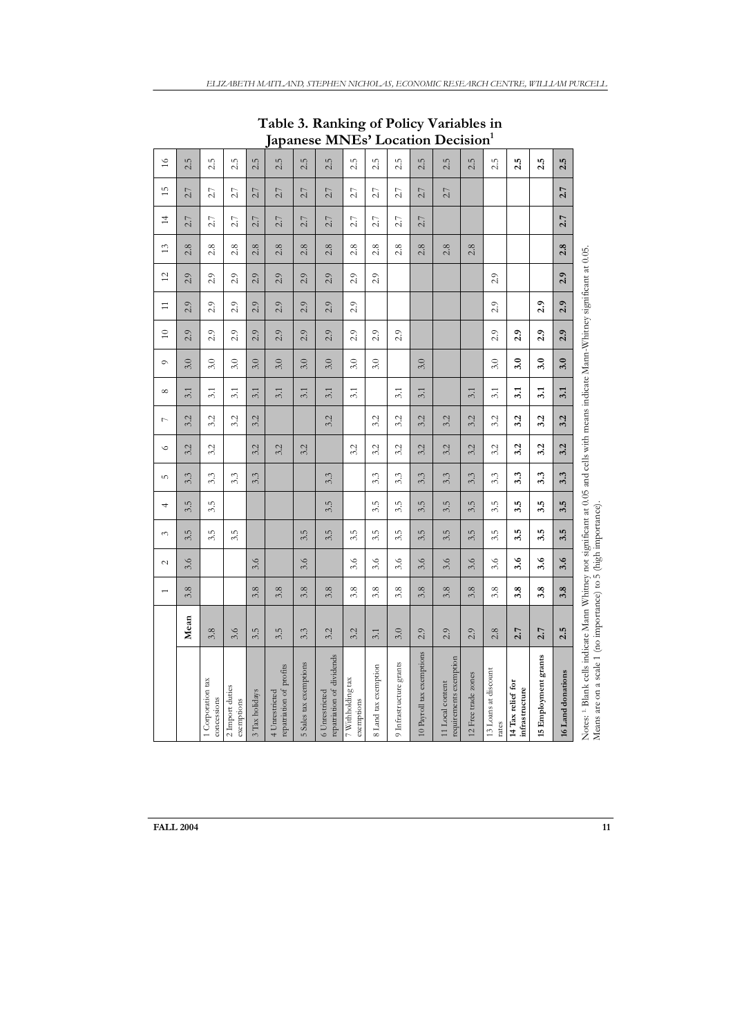**Table 3. Ranking of Policy Variables in Japanese MNEs' Location Decision1**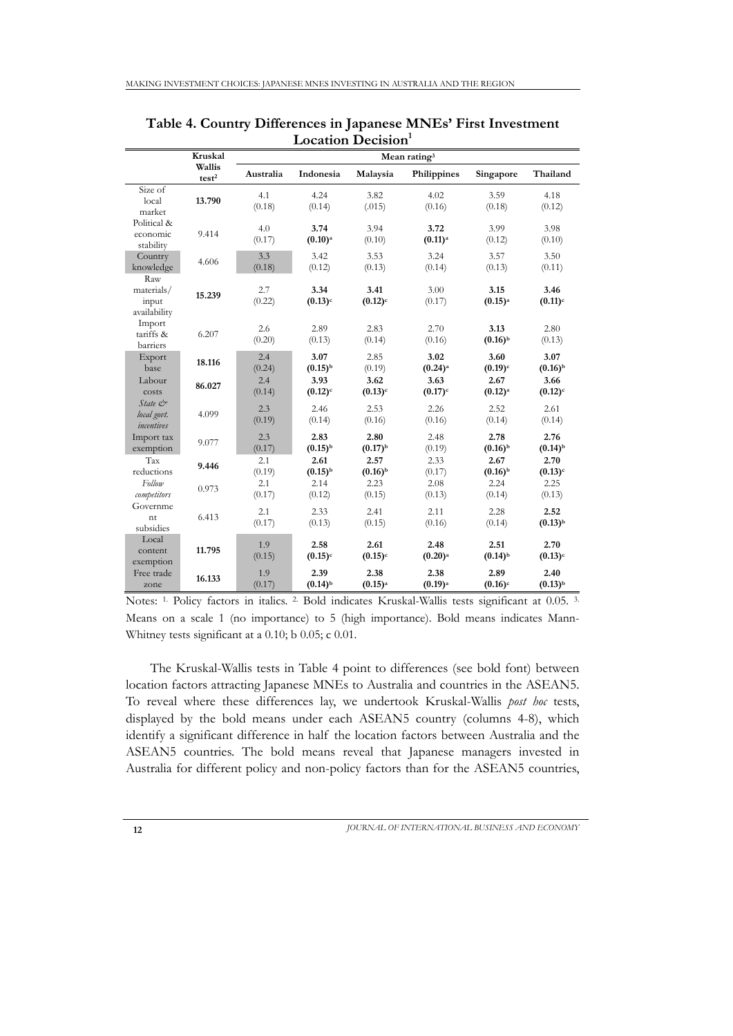|                                                   | Kruskal                     | Mean rating <sup>3</sup> |                               |                               |                               |                               |                               |  |  |  |  |
|---------------------------------------------------|-----------------------------|--------------------------|-------------------------------|-------------------------------|-------------------------------|-------------------------------|-------------------------------|--|--|--|--|
|                                                   | Wallis<br>test <sup>2</sup> | Australia                | Indonesia                     | Malaysia                      | Philippines                   | Singapore                     | Thailand                      |  |  |  |  |
| Size of<br>local<br>market                        | 13.790                      | 4.1<br>(0.18)            | 4.24<br>(0.14)                | 3.82<br>(.015)                | 4.02<br>(0.16)                | 3.59<br>(0.18)                | 4.18<br>(0.12)                |  |  |  |  |
| Political &<br>economic<br>stability              | 9.414                       | 4.0<br>(0.17)            | 3.74<br>$(0.10)$ <sup>a</sup> | 3.94<br>(0.10)                | 3.72<br>$(0.11)$ <sup>a</sup> | 3.99<br>(0.12)                | 3.98<br>(0.10)                |  |  |  |  |
| Country<br>knowledge                              | 4.606                       | 3.3<br>(0.18)            | 3.42<br>(0.12)                | 3.53<br>(0.13)                | 3.24<br>(0.14)                | 3.57<br>(0.13)                | 3.50<br>(0.11)                |  |  |  |  |
| Raw<br>materials/<br>input<br>availability        | 15.239                      | 2.7<br>(0.22)            | 3.34<br>$(0.13)$ <sup>c</sup> | 3.41<br>$(0.12)^c$            | 3.00<br>(0.17)                | 3.15<br>$(0.15)$ <sup>a</sup> | 3.46<br>$(0.11)^c$            |  |  |  |  |
| Import<br>tariffs &<br>barriers                   | 6.207                       | 2.6<br>(0.20)            | 2.89<br>(0.13)                | 2.83<br>(0.14)                | 2.70<br>(0.16)                | 3.13<br>$(0.16)^{b}$          | 2.80<br>(0.13)                |  |  |  |  |
| Export<br>base                                    | 18.116                      | 2.4<br>(0.24)            | 3.07<br>$(0.15)^{b}$          | 2.85<br>(0.19)                | 3.02<br>$(0.24)$ <sup>a</sup> | 3.60<br>$(0.19)^c$            | 3.07<br>$(0.16)^{b}$          |  |  |  |  |
| Labour<br>costs                                   | 86.027                      | 2.4<br>(0.14)            | 3.93<br>$(0.12)$ <sup>c</sup> | 3.62<br>$(0.13)$ <sup>c</sup> | 3.63<br>$(0.17)$ <sup>c</sup> | 2.67<br>(0.12) <sup>a</sup>   | 3.66<br>$(0.12)$ <sup>c</sup> |  |  |  |  |
| $State \circledcirc$<br>local govt.<br>incentives | 4.099                       | 2.3<br>(0.19)            | 2.46<br>(0.14)                | 2.53<br>(0.16)                | 2.26<br>(0.16)                | 2.52<br>(0.14)                | 2.61<br>(0.14)                |  |  |  |  |
| Import tax<br>exemption                           | 9.077                       | 2.3<br>(0.17)            | 2.83<br>$(0.15)^{b}$          | 2.80<br>$(0.17)$ <sup>b</sup> | 2.48<br>(0.19)                | 2.78<br>$(0.16)^{b}$          | 2.76<br>$(0.14)$ <sup>b</sup> |  |  |  |  |
| Tax<br>reductions                                 | 9.446                       | 2.1<br>(0.19)            | 2.61<br>$(0.15)^{b}$          | 2.57<br>$(0.16)^{b}$          | 2.33<br>(0.17)                | 2.67<br>$(0.16)^{b}$          | 2.70<br>$(0.13)$ <sup>c</sup> |  |  |  |  |
| Follow<br>competitors<br>Governme                 | 0.973                       | 2.1<br>(0.17)            | 2.14<br>(0.12)                | 2.23<br>(0.15)                | 2.08<br>(0.13)                | 2.24<br>(0.14)                | 2.25<br>(0.13)                |  |  |  |  |
| nt<br>subsidies                                   | 6.413                       | 2.1<br>(0.17)            | 2.33<br>(0.13)                | 2.41<br>(0.15)                | 2.11<br>(0.16)                | 2.28<br>(0.14)                | 2.52<br>$(0.13)$ <sup>b</sup> |  |  |  |  |
| Local<br>content<br>exemption                     | 11.795                      | 1.9<br>(0.15)            | 2.58<br>$(0.15)$ <sup>c</sup> | 2.61<br>$(0.15)$ <sup>c</sup> | 2.48<br>$(0.20)$ <sup>a</sup> | 2.51<br>$(0.14)$ <sup>b</sup> | 2.70<br>$(0.13)$ <sup>c</sup> |  |  |  |  |
| Free trade<br>zone                                | 16.133                      | 1.9<br>(0.17)            | 2.39<br>$(0.14)$ <sup>b</sup> | 2.38<br>$(0.15)$ <sup>a</sup> | 2.38<br>$(0.19)$ <sup>a</sup> | 2.89<br>$(0.16)^c$            | 2.40<br>$(0.13)$ <sup>b</sup> |  |  |  |  |

**Table 4. Country Differences in Japanese MNEs' First Investment**  Location Decision<sup>1</sup>

Notes: 1. Policy factors in italics. 2. Bold indicates Kruskal-Wallis tests significant at 0.05. 3. Means on a scale 1 (no importance) to 5 (high importance). Bold means indicates Mann-Whitney tests significant at a 0.10; b 0.05; c 0.01.

The Kruskal-Wallis tests in Table 4 point to differences (see bold font) between location factors attracting Japanese MNEs to Australia and countries in the ASEAN5. To reveal where these differences lay, we undertook Kruskal-Wallis *post hoc* tests, displayed by the bold means under each ASEAN5 country (columns 4-8), which identify a significant difference in half the location factors between Australia and the ASEAN5 countries. The bold means reveal that Japanese managers invested in Australia for different policy and non-policy factors than for the ASEAN5 countries,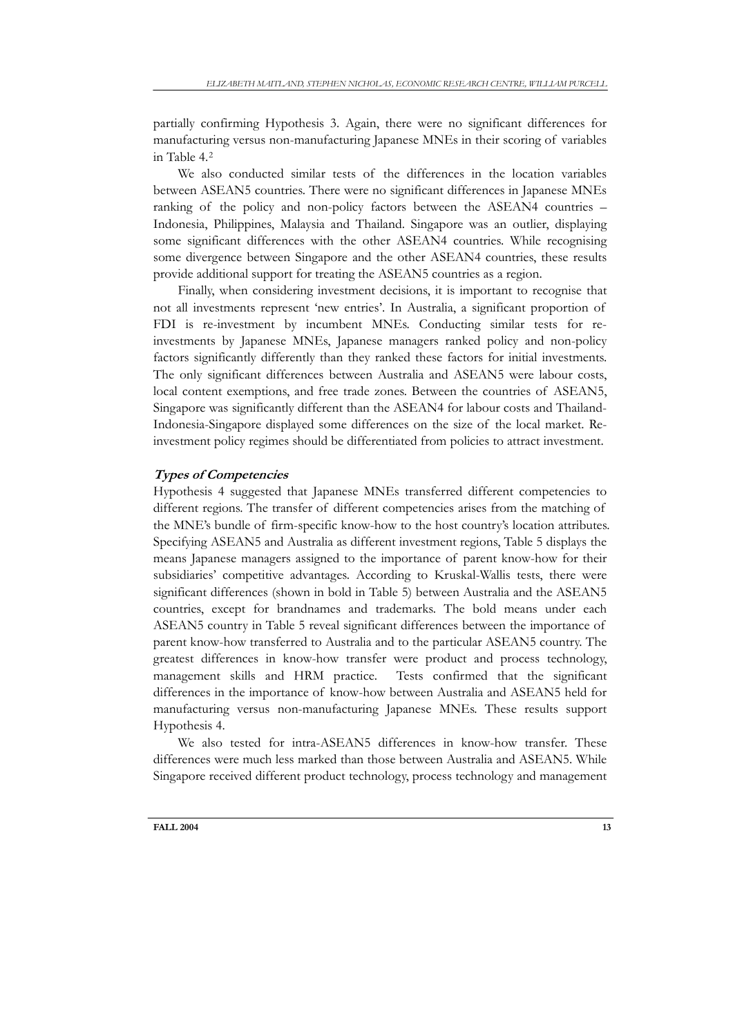partially confirming Hypothesis 3. Again, there were no significant differences for manufacturing versus non-manufacturing Japanese MNEs in their scoring of variables in Table 4.[2](#page-19-0)

We also conducted similar tests of the differences in the location variables between ASEAN5 countries. There were no significant differences in Japanese MNEs ranking of the policy and non-policy factors between the ASEAN4 countries – Indonesia, Philippines, Malaysia and Thailand. Singapore was an outlier, displaying some significant differences with the other ASEAN4 countries. While recognising some divergence between Singapore and the other ASEAN4 countries, these results provide additional support for treating the ASEAN5 countries as a region.

Finally, when considering investment decisions, it is important to recognise that not all investments represent 'new entries'. In Australia, a significant proportion of FDI is re-investment by incumbent MNEs. Conducting similar tests for reinvestments by Japanese MNEs, Japanese managers ranked policy and non-policy factors significantly differently than they ranked these factors for initial investments. The only significant differences between Australia and ASEAN5 were labour costs, local content exemptions, and free trade zones. Between the countries of ASEAN5, Singapore was significantly different than the ASEAN4 for labour costs and Thailand-Indonesia-Singapore displayed some differences on the size of the local market. Reinvestment policy regimes should be differentiated from policies to attract investment.

### **Types of Competencies**

Hypothesis 4 suggested that Japanese MNEs transferred different competencies to different regions. The transfer of different competencies arises from the matching of the MNE's bundle of firm-specific know-how to the host country's location attributes. Specifying ASEAN5 and Australia as different investment regions, Table 5 displays the means Japanese managers assigned to the importance of parent know-how for their subsidiaries' competitive advantages. According to Kruskal-Wallis tests, there were significant differences (shown in bold in Table 5) between Australia and the ASEAN5 countries, except for brandnames and trademarks. The bold means under each ASEAN5 country in Table 5 reveal significant differences between the importance of parent know-how transferred to Australia and to the particular ASEAN5 country. The greatest differences in know-how transfer were product and process technology, management skills and HRM practice. Tests confirmed that the significant differences in the importance of know-how between Australia and ASEAN5 held for manufacturing versus non-manufacturing Japanese MNEs. These results support Hypothesis 4.

We also tested for intra-ASEAN5 differences in know-how transfer. These differences were much less marked than those between Australia and ASEAN5. While Singapore received different product technology, process technology and management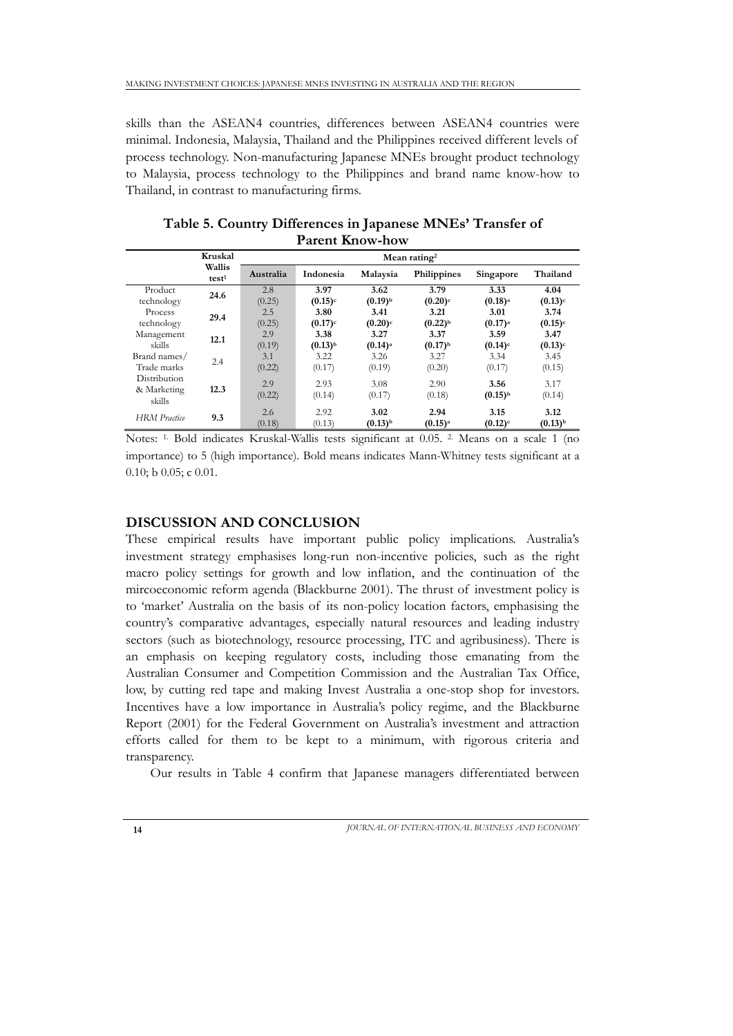skills than the ASEAN4 countries, differences between ASEAN4 countries were minimal. Indonesia, Malaysia, Thailand and the Philippines received different levels of process technology. Non-manufacturing Japanese MNEs brought product technology to Malaysia, process technology to the Philippines and brand name know-how to Thailand, in contrast to manufacturing firms.

|                                       | Kruskal                     | Mean rating <sup>2</sup> |                       |                               |                               |                       |                               |  |  |  |  |  |
|---------------------------------------|-----------------------------|--------------------------|-----------------------|-------------------------------|-------------------------------|-----------------------|-------------------------------|--|--|--|--|--|
|                                       | Wallis<br>test <sup>1</sup> | Australia                | Indonesia             | Malaysia                      | Philippines                   | Singapore             | Thailand                      |  |  |  |  |  |
| Product                               | 24.6                        | 2.8                      | 3.97                  | 3.62                          | 3.79                          | 3.33                  | 4.04                          |  |  |  |  |  |
| technology                            |                             | (0.25)                   | $(0.15)$ <sup>c</sup> | $(0.19)^{b}$                  | $(0.20)$ <sup>c</sup>         | $(0.18)$ <sup>a</sup> | $(0.13)$ <sup>c</sup>         |  |  |  |  |  |
| Process                               | 29.4                        | 2.5                      | 3.80                  | 3.41                          | 3.21                          | 3.01                  | 3.74                          |  |  |  |  |  |
| technology                            |                             | (0.25)                   | $(0.17)$ <sup>c</sup> | $(0.20)$ <sup>c</sup>         | $(0.22)$ <sup>b</sup>         | $(0.17)$ <sup>a</sup> | $(0.15)^c$                    |  |  |  |  |  |
| Management                            | 12.1                        | 2.9                      | 3.38                  | 3.27                          | 3.37                          | 3.59                  | 3.47                          |  |  |  |  |  |
| skills                                |                             | (0.19)                   | $(0.13)$ <sup>b</sup> | $(0.14)$ <sup>a</sup>         | $(0.17)$ <sup>b</sup>         | $(0.14)$ <sup>c</sup> | $(0.13)$ <sup>c</sup>         |  |  |  |  |  |
| Brand names/                          | 2.4                         | 3.1                      | 3.22                  | 3.26                          | 3.27                          | 3.34                  | 3.45                          |  |  |  |  |  |
| Trade marks                           |                             | (0.22)                   | (0.17)                | (0.19)                        | (0.20)                        | (0.17)                | (0.15)                        |  |  |  |  |  |
| Distribution<br>& Marketing<br>skills | 12.3                        | 2.9<br>(0.22)            | 2.93<br>(0.14)        | 3.08<br>(0.17)                | 2.90<br>(0.18)                | 3.56<br>$(0.15)^{b}$  | 3.17<br>(0.14)                |  |  |  |  |  |
| <b>HRM</b> Practice                   | 9.3                         | 2.6<br>(0.18)            | 2.92<br>(0.13)        | 3.02<br>$(0.13)$ <sup>b</sup> | 2.94<br>$(0.15)$ <sup>a</sup> | 3.15<br>$(0.12)^c$    | 3.12<br>$(0.13)$ <sup>b</sup> |  |  |  |  |  |

**Table 5. Country Differences in Japanese MNEs' Transfer of Parent Know-how**

Notes: 1. Bold indicates Kruskal-Wallis tests significant at 0.05. 2. Means on a scale 1 (no importance) to 5 (high importance). Bold means indicates Mann-Whitney tests significant at a 0.10; b 0.05; c 0.01.

## **DISCUSSION AND CONCLUSION**

These empirical results have important public policy implications. Australia's investment strategy emphasises long-run non-incentive policies, such as the right macro policy settings for growth and low inflation, and the continuation of the mircoeconomic reform agenda (Blackburne 2001). The thrust of investment policy is to 'market' Australia on the basis of its non-policy location factors, emphasising the country's comparative advantages, especially natural resources and leading industry sectors (such as biotechnology, resource processing, ITC and agribusiness). There is an emphasis on keeping regulatory costs, including those emanating from the Australian Consumer and Competition Commission and the Australian Tax Office, low, by cutting red tape and making Invest Australia a one-stop shop for investors. Incentives have a low importance in Australia's policy regime, and the Blackburne Report (2001) for the Federal Government on Australia's investment and attraction efforts called for them to be kept to a minimum, with rigorous criteria and transparency.

Our results in Table 4 confirm that Japanese managers differentiated between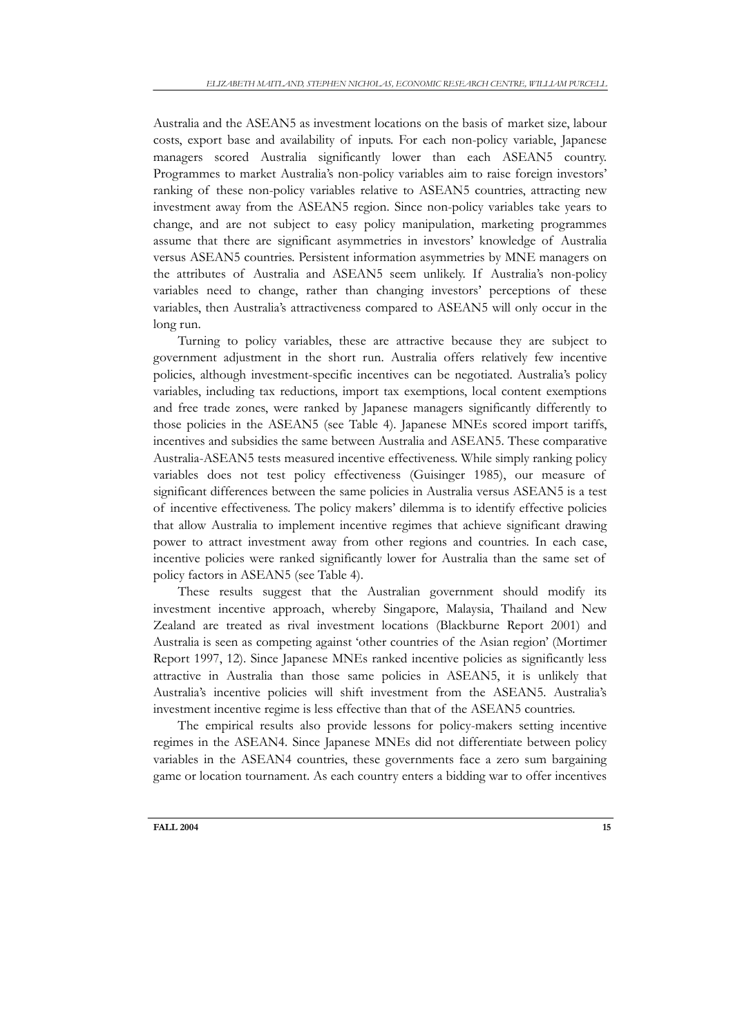Australia and the ASEAN5 as investment locations on the basis of market size, labour costs, export base and availability of inputs. For each non-policy variable, Japanese managers scored Australia significantly lower than each ASEAN5 country. Programmes to market Australia's non-policy variables aim to raise foreign investors' ranking of these non-policy variables relative to ASEAN5 countries, attracting new investment away from the ASEAN5 region. Since non-policy variables take years to change, and are not subject to easy policy manipulation, marketing programmes assume that there are significant asymmetries in investors' knowledge of Australia versus ASEAN5 countries. Persistent information asymmetries by MNE managers on the attributes of Australia and ASEAN5 seem unlikely. If Australia's non-policy variables need to change, rather than changing investors' perceptions of these variables, then Australia's attractiveness compared to ASEAN5 will only occur in the long run.

Turning to policy variables, these are attractive because they are subject to government adjustment in the short run. Australia offers relatively few incentive policies, although investment-specific incentives can be negotiated. Australia's policy variables, including tax reductions, import tax exemptions, local content exemptions and free trade zones, were ranked by Japanese managers significantly differently to those policies in the ASEAN5 (see Table 4). Japanese MNEs scored import tariffs, incentives and subsidies the same between Australia and ASEAN5. These comparative Australia-ASEAN5 tests measured incentive effectiveness. While simply ranking policy variables does not test policy effectiveness (Guisinger 1985), our measure of significant differences between the same policies in Australia versus ASEAN5 is a test of incentive effectiveness. The policy makers' dilemma is to identify effective policies that allow Australia to implement incentive regimes that achieve significant drawing power to attract investment away from other regions and countries. In each case, incentive policies were ranked significantly lower for Australia than the same set of policy factors in ASEAN5 (see Table 4).

These results suggest that the Australian government should modify its investment incentive approach, whereby Singapore, Malaysia, Thailand and New Zealand are treated as rival investment locations (Blackburne Report 2001) and Australia is seen as competing against 'other countries of the Asian region' (Mortimer Report 1997, 12). Since Japanese MNEs ranked incentive policies as significantly less attractive in Australia than those same policies in ASEAN5, it is unlikely that Australia's incentive policies will shift investment from the ASEAN5. Australia's investment incentive regime is less effective than that of the ASEAN5 countries.

The empirical results also provide lessons for policy-makers setting incentive regimes in the ASEAN4. Since Japanese MNEs did not differentiate between policy variables in the ASEAN4 countries, these governments face a zero sum bargaining game or location tournament. As each country enters a bidding war to offer incentives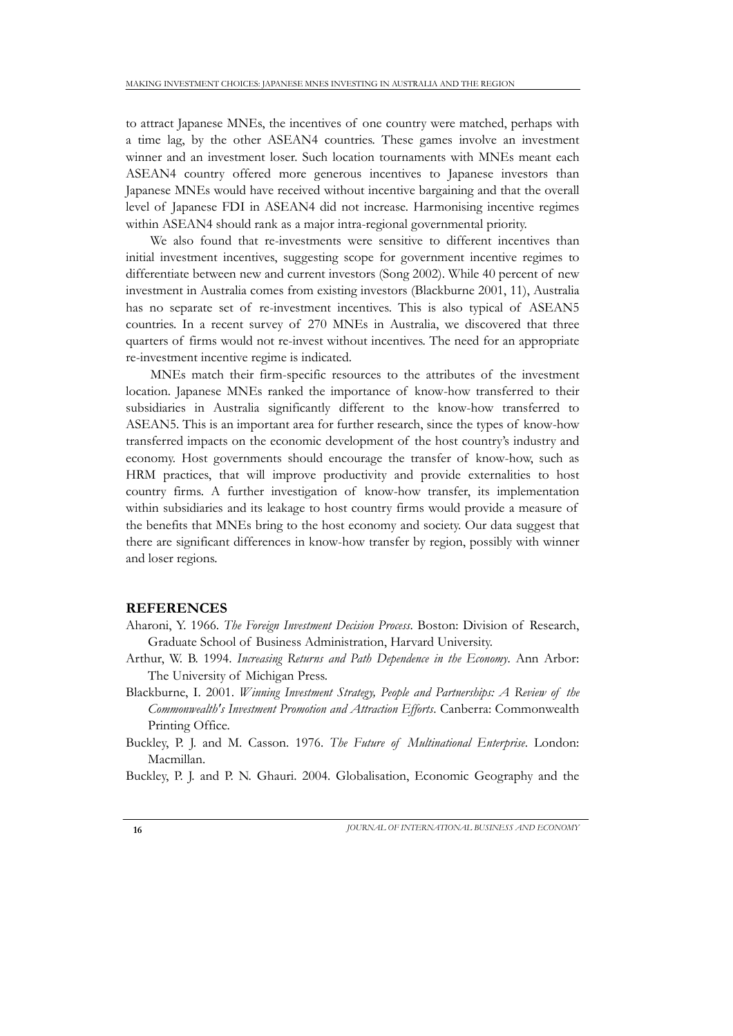to attract Japanese MNEs, the incentives of one country were matched, perhaps with a time lag, by the other ASEAN4 countries. These games involve an investment winner and an investment loser. Such location tournaments with MNEs meant each ASEAN4 country offered more generous incentives to Japanese investors than Japanese MNEs would have received without incentive bargaining and that the overall level of Japanese FDI in ASEAN4 did not increase. Harmonising incentive regimes within ASEAN4 should rank as a major intra-regional governmental priority.

We also found that re-investments were sensitive to different incentives than initial investment incentives, suggesting scope for government incentive regimes to differentiate between new and current investors (Song 2002). While 40 percent of new investment in Australia comes from existing investors (Blackburne 2001, 11), Australia has no separate set of re-investment incentives. This is also typical of ASEAN5 countries. In a recent survey of 270 MNEs in Australia, we discovered that three quarters of firms would not re-invest without incentives. The need for an appropriate re-investment incentive regime is indicated.

MNEs match their firm-specific resources to the attributes of the investment location. Japanese MNEs ranked the importance of know-how transferred to their subsidiaries in Australia significantly different to the know-how transferred to ASEAN5. This is an important area for further research, since the types of know-how transferred impacts on the economic development of the host country's industry and economy. Host governments should encourage the transfer of know-how, such as HRM practices, that will improve productivity and provide externalities to host country firms. A further investigation of know-how transfer, its implementation within subsidiaries and its leakage to host country firms would provide a measure of the benefits that MNEs bring to the host economy and society. Our data suggest that there are significant differences in know-how transfer by region, possibly with winner and loser regions.

## **REFERENCES**

- Aharoni, Y. 1966. *The Foreign Investment Decision Process*. Boston: Division of Research, Graduate School of Business Administration, Harvard University.
- Arthur, W. B. 1994. *Increasing Returns and Path Dependence in the Economy*. Ann Arbor: The University of Michigan Press.
- Blackburne, I. 2001. *Winning Investment Strategy, People and Partnerships: A Review of the Commonwealth's Investment Promotion and Attraction Efforts*. Canberra: Commonwealth Printing Office.
- Buckley, P. J. and M. Casson. 1976. *The Future of Multinational Enterprise*. London: Macmillan.

Buckley, P. J. and P. N. Ghauri. 2004. Globalisation, Economic Geography and the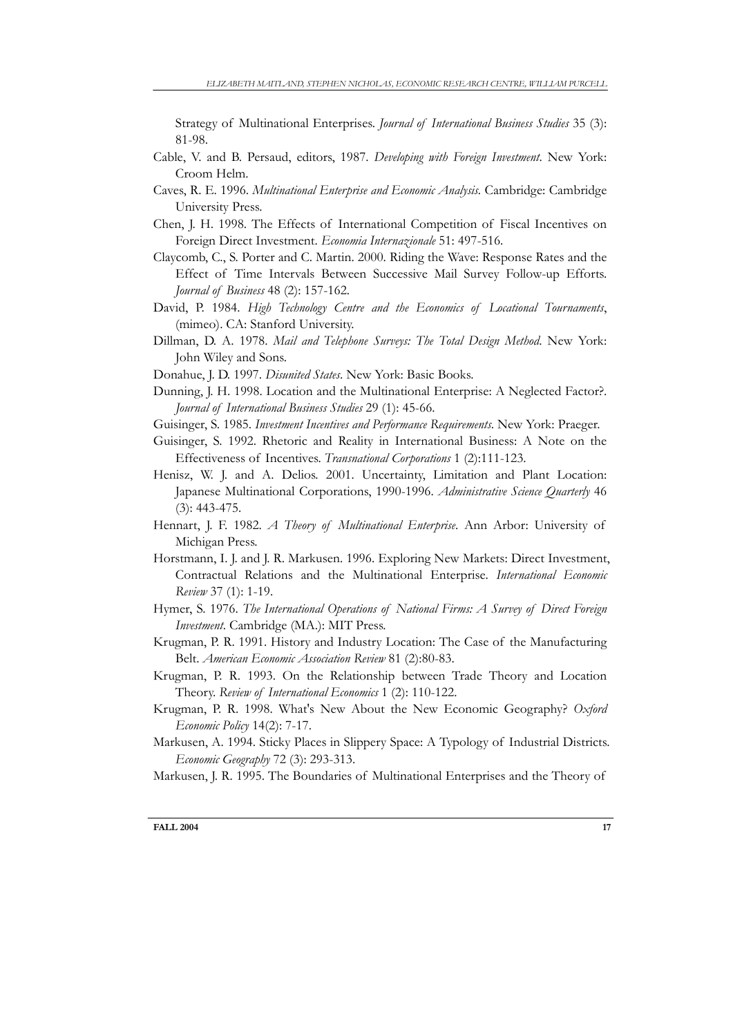Strategy of Multinational Enterprises. *Journal of International Business Studies* 35 (3): 81-98.

- Cable, V. and B. Persaud, editors, 1987. *Developing with Foreign Investment*. New York: Croom Helm.
- Caves, R. E. 1996. *Multinational Enterprise and Economic Analysis.* Cambridge: Cambridge University Press.
- Chen, J. H. 1998. The Effects of International Competition of Fiscal Incentives on Foreign Direct Investment. *Economia Internazionale* 51: 497-516.
- Claycomb, C., S. Porter and C. Martin. 2000. Riding the Wave: Response Rates and the Effect of Time Intervals Between Successive Mail Survey Follow-up Efforts. *Journal of Business* 48 (2): 157-162.
- David, P. 1984. *High Technology Centre and the Economics of Locational Tournaments*, (mimeo). CA: Stanford University.
- Dillman, D. A. 1978. *Mail and Telephone Surveys: The Total Design Method*. New York: John Wiley and Sons.
- Donahue, J. D. 1997. *Disunited States*. New York: Basic Books.
- Dunning, J. H. 1998. Location and the Multinational Enterprise: A Neglected Factor?. *Journal of International Business Studies* 29 (1): 45-66.
- Guisinger, S. 1985. *Investment Incentives and Performance Requirements*. New York: Praeger.
- Guisinger, S. 1992. Rhetoric and Reality in International Business: A Note on the Effectiveness of Incentives. *Transnational Corporations* 1 (2):111-123.
- Henisz, W. J. and A. Delios. 2001. Uncertainty, Limitation and Plant Location: Japanese Multinational Corporations, 1990-1996. *Administrative Science Quarterly* 46 (3): 443-475.
- Hennart, J. F. 1982. *A Theory of Multinational Enterprise*. Ann Arbor: University of Michigan Press.
- Horstmann, I. J. and J. R. Markusen. 1996. Exploring New Markets: Direct Investment, Contractual Relations and the Multinational Enterprise. *International Economic Review* 37 (1): 1-19.
- Hymer, S. 1976. *The International Operations of National Firms: A Survey of Direct Foreign Investment*. Cambridge (MA.): MIT Press.
- Krugman, P. R. 1991. History and Industry Location: The Case of the Manufacturing Belt. *American Economic Association Review* 81 (2):80-83.
- Krugman, P. R. 1993. On the Relationship between Trade Theory and Location Theory. *Review of International Economics* 1 (2): 110-122.
- Krugman, P. R. 1998. What's New About the New Economic Geography? *Oxford Economic Policy* 14(2): 7-17.
- Markusen, A. 1994. Sticky Places in Slippery Space: A Typology of Industrial Districts. *Economic Geography* 72 (3): 293-313.
- Markusen, J. R. 1995. The Boundaries of Multinational Enterprises and the Theory of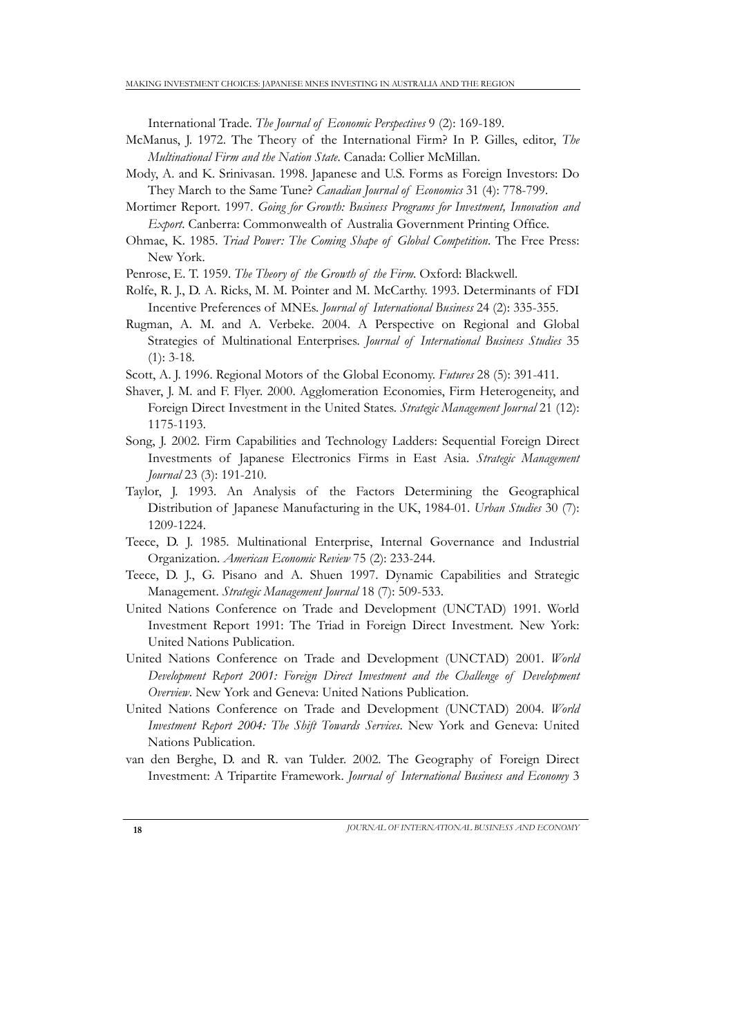International Trade. *The Journal of Economic Perspectives* 9 (2): 169-189.

- McManus, J. 1972. The Theory of the International Firm? In P. Gilles, editor, *The Multinational Firm and the Nation State*. Canada: Collier McMillan.
- Mody, A. and K. Srinivasan. 1998. Japanese and U.S. Forms as Foreign Investors: Do They March to the Same Tune? *Canadian Journal of Economics* 31 (4): 778-799.
- Mortimer Report. 1997. *Going for Growth: Business Programs for Investment, Innovation and Export*. Canberra: Commonwealth of Australia Government Printing Office.
- Ohmae, K. 1985. *Triad Power: The Coming Shape of Global Competition*. The Free Press: New York.

Penrose, E. T. 1959. *The Theory of the Growth of the Firm*. Oxford: Blackwell.

- Rolfe, R. J., D. A. Ricks, M. M. Pointer and M. McCarthy. 1993. Determinants of FDI Incentive Preferences of MNEs. *Journal of International Business* 24 (2): 335-355.
- Rugman, A. M. and A. Verbeke. 2004. A Perspective on Regional and Global Strategies of Multinational Enterprises. *Journal of International Business Studies* 35  $(1)$ : 3-18.
- Scott, A. J. 1996. Regional Motors of the Global Economy. *Futures* 28 (5): 391-411.
- Shaver, J. M. and F. Flyer. 2000. Agglomeration Economies, Firm Heterogeneity, and Foreign Direct Investment in the United States. *Strategic Management Journal* 21 (12): 1175-1193.
- Song, J. 2002. Firm Capabilities and Technology Ladders: Sequential Foreign Direct Investments of Japanese Electronics Firms in East Asia. *Strategic Management Journal* 23 (3): 191-210.
- Taylor, J. 1993. An Analysis of the Factors Determining the Geographical Distribution of Japanese Manufacturing in the UK, 1984-01. *Urban Studies* 30 (7): 1209-1224.
- Teece, D. J. 1985. Multinational Enterprise, Internal Governance and Industrial Organization. *American Economic Review* 75 (2): 233-244.
- Teece, D. J., G. Pisano and A. Shuen 1997. Dynamic Capabilities and Strategic Management. *Strategic Management Journal* 18 (7): 509-533.
- United Nations Conference on Trade and Development (UNCTAD) 1991. World Investment Report 1991: The Triad in Foreign Direct Investment*.* New York: United Nations Publication.
- United Nations Conference on Trade and Development (UNCTAD) 2001. *World Development Report 2001: Foreign Direct Investment and the Challenge of Development Overview*. New York and Geneva: United Nations Publication.
- United Nations Conference on Trade and Development (UNCTAD) 2004. *World Investment Report 2004: The Shift Towards Services*. New York and Geneva: United Nations Publication.
- van den Berghe, D. and R. van Tulder. 2002. The Geography of Foreign Direct Investment: A Tripartite Framework. *Journal of International Business and Economy* 3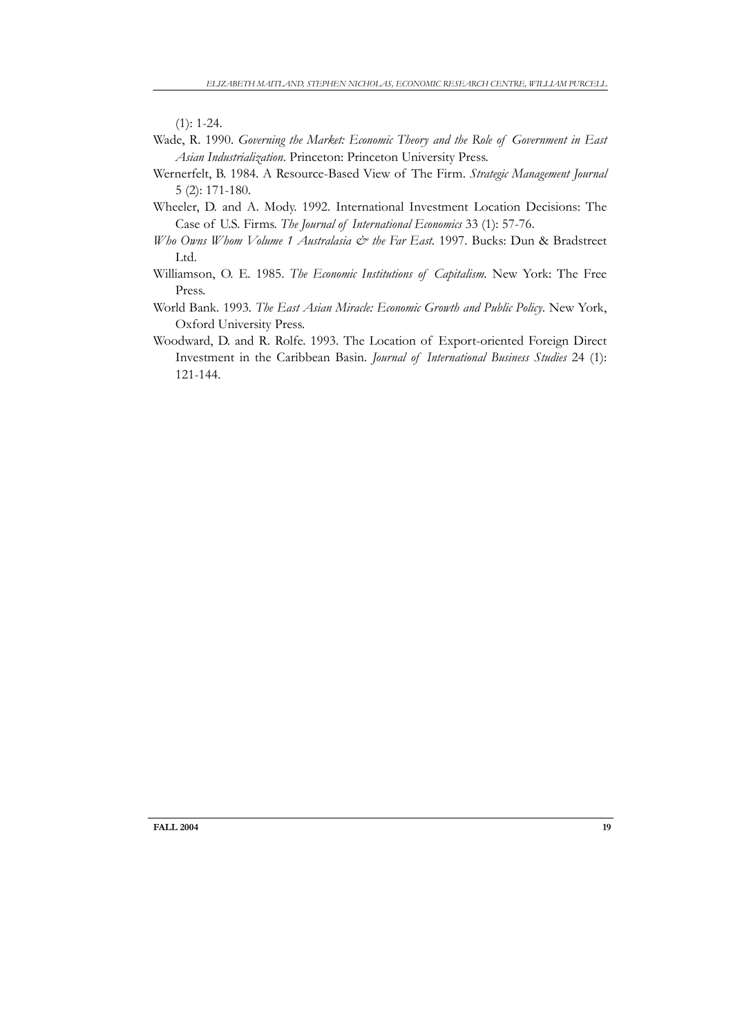$(1): 1-24.$ 

- Wade, R. 1990. *Governing the Market: Economic Theory and the Role of Government in East Asian Industrialization*. Princeton: Princeton University Press.
- Wernerfelt, B. 1984. A Resource-Based View of The Firm. *Strategic Management Journal* 5 (2): 171-180.
- Wheeler, D. and A. Mody. 1992. International Investment Location Decisions: The Case of U.S. Firms. *The Journal of International Economics* 33 (1): 57-76.
- *Who Owns Whom Volume 1 Australasia & the Far East.* 1997. Bucks: Dun & Bradstreet Ltd.
- Williamson, O. E. 1985. *The Economic Institutions of Capitalism.* New York: The Free Press.
- World Bank. 1993. *The East Asian Miracle: Economic Growth and Public Policy*. New York, Oxford University Press.
- Woodward, D. and R. Rolfe. 1993. The Location of Export-oriented Foreign Direct Investment in the Caribbean Basin. *Journal of International Business Studies* 24 (1): 121-144.